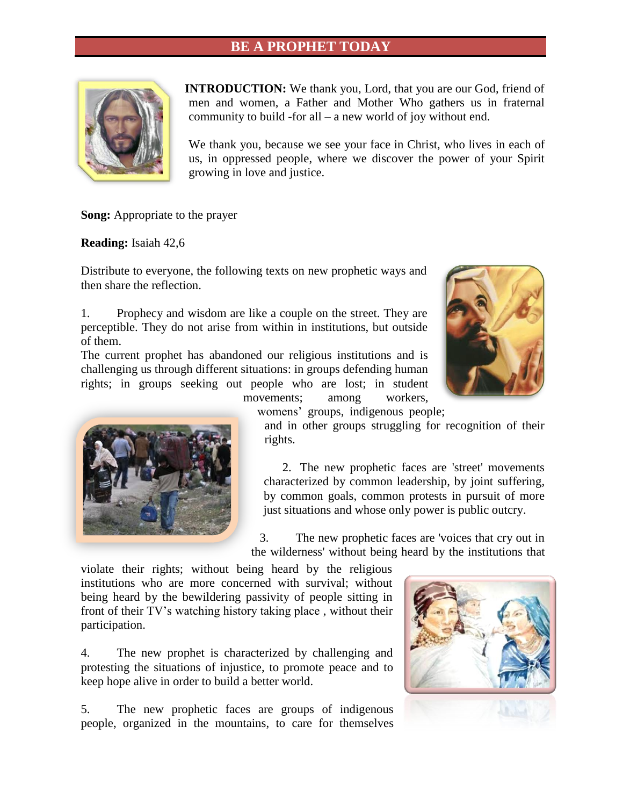# **BE A PROPHET TODAY**



**INTRODUCTION:** We thank you, Lord, that you are our God, friend of men and women, a Father and Mother Who gathers us in fraternal community to build -for all – a new world of joy without end.

We thank you, because we see your face in Christ, who lives in each of us, in oppressed people, where we discover the power of your Spirit growing in love and justice.

**Song:** Appropriate to the prayer

**Reading:** Isaiah 42,6

Distribute to everyone, the following texts on new prophetic ways and then share the reflection.

1. Prophecy and wisdom are like a couple on the street. They are perceptible. They do not arise from within in institutions, but outside of them.

The current prophet has abandoned our religious institutions and is challenging us through different situations: in groups defending human rights; in groups seeking out people who are lost; in student





movements; among workers, womens' groups, indigenous people;

and in other groups struggling for recognition of their rights.

2. The new prophetic faces are 'street' movements characterized by common leadership, by joint suffering, by common goals, common protests in pursuit of more just situations and whose only power is public outcry.

3. The new prophetic faces are 'voices that cry out in the wilderness' without being heard by the institutions that

violate their rights; without being heard by the religious institutions who are more concerned with survival; without being heard by the bewildering passivity of people sitting in front of their TV's watching history taking place , without their participation.

4. The new prophet is characterized by challenging and protesting the situations of injustice, to promote peace and to keep hope alive in order to build a better world.

5. The new prophetic faces are groups of indigenous people, organized in the mountains, to care for themselves